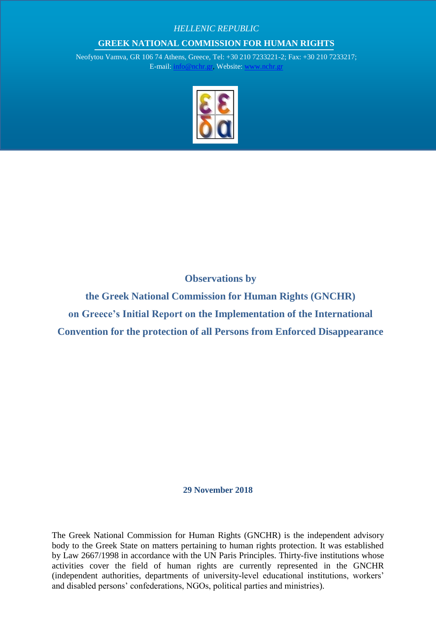## *HELLENIC REPUBLIC*

## **GREEK NATIONAL COMMISSION FOR HUMAN RIGHTS**

Neofytou Vamva, GR 106 74 Athens, Greece, Tel: +30 210 7233221-2; Fax: +30 210 7233217; E-mail: [info@nchr.gr,](mailto:info@nchr.gr) Website: [www.nchr.gr](http://www.nchr.gr/)



**Observations by** 

**the Greek National Commission for Human Rights (GNCHR) on Greece's Initial Report on the Implementation of the International Convention for the protection of all Persons from Enforced Disappearance** 

**29 November 2018**

The Greek National Commission for Human Rights (GNCHR) is the independent advisory body to the Greek State on matters pertaining to human rights protection. It was established by Law 2667/1998 in accordance with the UN Paris Principles. Thirty-five institutions whose activities cover the field of human rights are currently represented in the GNCHR (independent authorities, departments of university-level educational institutions, workers' and disabled persons' confederations, NGOs, political parties and ministries).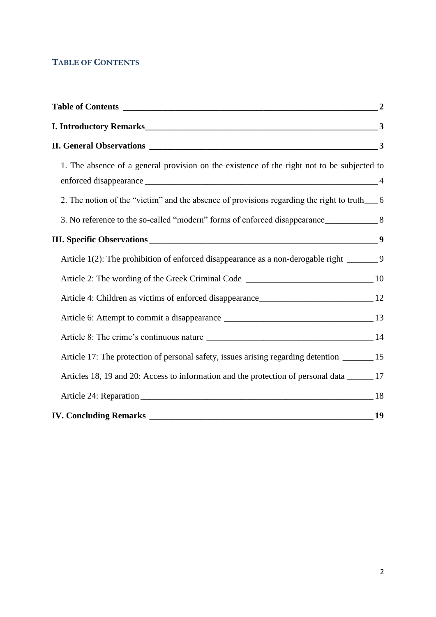# <span id="page-1-0"></span>**TABLE OF CONTENTS**

| I. Introductory Remarks                                                                       | 3 |
|-----------------------------------------------------------------------------------------------|---|
|                                                                                               |   |
| 1. The absence of a general provision on the existence of the right not to be subjected to    |   |
| 2. The notion of the "victim" and the absence of provisions regarding the right to truth___ 6 |   |
|                                                                                               |   |
|                                                                                               |   |
| Article 1(2): The prohibition of enforced disappearance as a non-derogable right ________9    |   |
|                                                                                               |   |
|                                                                                               |   |
|                                                                                               |   |
|                                                                                               |   |
| Article 17: The protection of personal safety, issues arising regarding detention _______ 15  |   |
| Articles 18, 19 and 20: Access to information and the protection of personal data ______ 17   |   |
|                                                                                               |   |
|                                                                                               |   |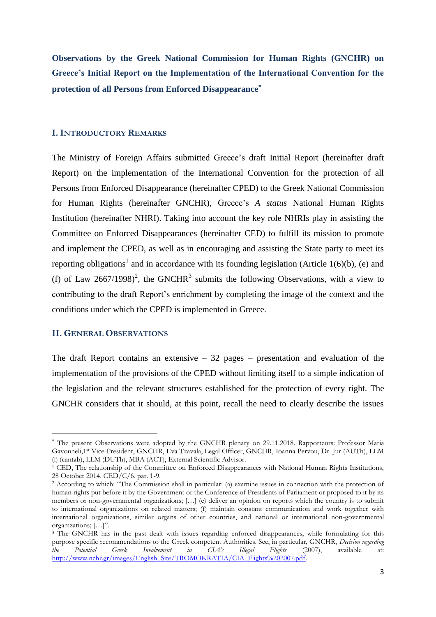**Observations by the Greek National Commission for Human Rights (GNCHR) on Greece's Initial Report on the Implementation of the International Convention for the protection of all Persons from Enforced Disappearance**

#### <span id="page-2-0"></span>**I. INTRODUCTORY REMARKS**

The Ministry of Foreign Affairs submitted Greece's draft Initial Report (hereinafter draft Report) on the implementation of the International Convention for the protection of all Persons from Enforced Disappearance (hereinafter CPED) to the Greek National Commission for Human Rights (hereinafter GNCHR), Greece's *A status* National Human Rights Institution (hereinafter NHRI). Taking into account the key role NHRIs play in assisting the Committee on Enforced Disappearances (hereinafter CED) to fulfill its mission to promote and implement the CPED, as well as in encouraging and assisting the State party to meet its reporting obligations<sup>1</sup> and in accordance with its founding legislation (Article 1(6)(b), (e) and (f) of Law 2667/1998)<sup>2</sup>, the GNCHR<sup>3</sup> submits the following Observations, with a view to contributing to the draft Report's enrichment by completing the image of the context and the conditions under which the CPED is implemented in Greece.

### <span id="page-2-1"></span>**II. GENERAL OBSERVATIONS**

 $\overline{a}$ 

The draft Report contains an extensive  $-32$  pages  $-$  presentation and evaluation of the implementation of the provisions of the CPED without limiting itself to a simple indication of the legislation and the relevant structures established for the protection of every right. The GNCHR considers that it should, at this point, recall the need to clearly describe the issues

The present Observations were adopted by the GNCHR plenary on 29.11.2018. Rapporteurs: Professor Maria Gavouneli,1 st Vice-President, GNCHR, Eva Tzavala, Legal Officer, GNCHR, Ioanna Pervou, Dr. Jur (AUTh), LLM (i) (cantab), LLM (DUTh), MBA (ACT), External Scientific Advisor.

<sup>&</sup>lt;sup>1</sup> CED, The relationship of the Committee on Enforced Disappearances with National Human Rights Institutions, 28 October 2014, CED/C/6, par. 1-9.

<sup>&</sup>lt;sup>2</sup> According to which: "The Commission shall in particular: (a) examine issues in connection with the protection of human rights put before it by the Government or the Conference of Presidents of Parliament or proposed to it by its members or non-governmental organizations; […] (e) deliver an opinion on reports which the country is to submit to international organizations on related matters; (f) maintain constant communication and work together with international organizations, similar organs of other countries, and national or international non-governmental organizations; […]".

<sup>&</sup>lt;sup>3</sup> The GNCHR has in the past dealt with issues regarding enforced disappearances, while formulating for this purpose specific recommendations to the Greek competent Authorities. See, in particular, GNCHR, *Decision regarding*<br> *the* Potential Greek Involvement in CLA's Illegal Flights (2007), available at: *the Potential Greek Involvement in CIA's Illegal Flights* (2007), available at: [http://www.nchr.gr/images/English\\_Site/TROMOKRATIA/CIA\\_Flights%202007.pdf.](http://www.nchr.gr/images/English_Site/TROMOKRATIA/CIA_Flights%202007.pdf)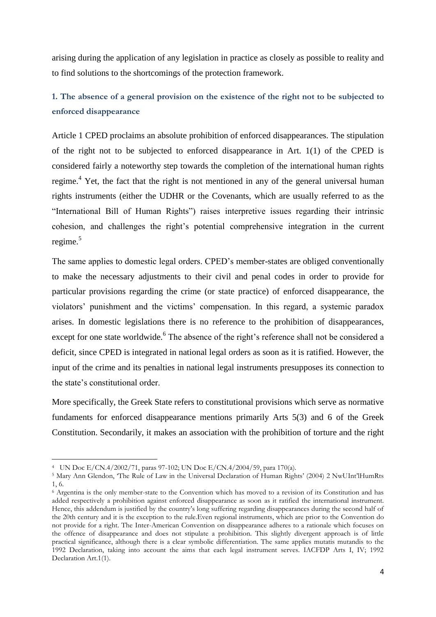arising during the application of any legislation in practice as closely as possible to reality and to find solutions to the shortcomings of the protection framework.

# <span id="page-3-0"></span>**1. The absence of a general provision on the existence of the right not to be subjected to enforced disappearance**

Article 1 CPED proclaims an absolute prohibition of enforced disappearances. The stipulation of the right not to be subjected to enforced disappearance in Art. 1(1) of the CPED is considered fairly a noteworthy step towards the completion of the international human rights regime.<sup>4</sup> Yet, the fact that the right is not mentioned in any of the general universal human rights instruments (either the UDHR or the Covenants, which are usually referred to as the "International Bill of Human Rights") raises interpretive issues regarding their intrinsic cohesion, and challenges the right's potential comprehensive integration in the current regime.<sup>5</sup>

The same applies to domestic legal orders. CPED's member-states are obliged conventionally to make the necessary adjustments to their civil and penal codes in order to provide for particular provisions regarding the crime (or state practice) of enforced disappearance, the violators' punishment and the victims' compensation. In this regard, a systemic paradox arises. In domestic legislations there is no reference to the prohibition of disappearances, except for one state worldwide. <sup>6</sup> The absence of the right's reference shall not be considered a deficit, since CPED is integrated in national legal orders as soon as it is ratified. However, the input of the crime and its penalties in national legal instruments presupposes its connection to the state's constitutional order.

More specifically, the Greek State refers to constitutional provisions which serve as normative fundaments for enforced disappearance mentions primarily Arts 5(3) and 6 of the Greek Constitution. Secondarily, it makes an association with the prohibition of torture and the right

<sup>4</sup> UN Doc E/CN.4/2002/71, paras 97-102; UN Doc E/CN.4/2004/59, para 170(a).

<sup>5</sup> Mary Ann Glendon, 'The Rule of Law in the Universal Declaration of Human Rights' (2004) 2 NwUInt'lHumRts 1, 6.

<sup>6</sup> Argentina is the only member-state to the Convention which has moved to a revision of its Constitution and has added respectively a prohibition against enforced disappearance as soon as it ratified the international instrument. Hence, this addendum is justified by the country's long suffering regarding disappearances during the second half of the 20th century and it is the exception to the rule.Even regional instruments, which are prior to the Convention do not provide for a right. The Inter-American Convention on disappearance adheres to a rationale which focuses on the offence of disappearance and does not stipulate a prohibition. This slightly divergent approach is of little practical significance, although there is a clear symbolic differentiation. The same applies mutatis mutandis to the 1992 Declaration, taking into account the aims that each legal instrument serves. IACFDP Arts I, IV; 1992 Declaration Art.1(1).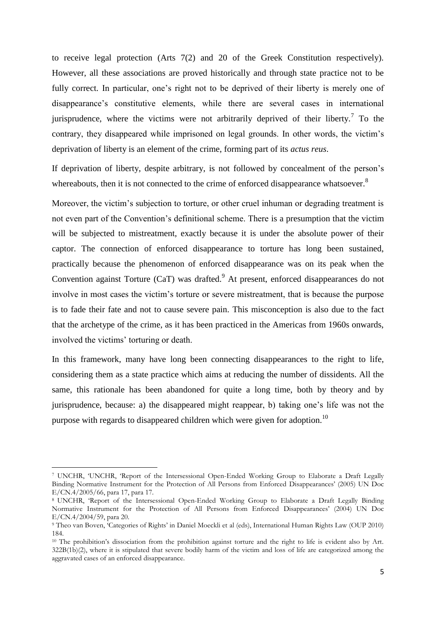to receive legal protection (Arts 7(2) and 20 of the Greek Constitution respectively). However, all these associations are proved historically and through state practice not to be fully correct. In particular, one's right not to be deprived of their liberty is merely one of disappearance's constitutive elements, while there are several cases in international jurisprudence, where the victims were not arbitrarily deprived of their liberty.<sup>7</sup> To the contrary, they disappeared while imprisoned on legal grounds. In other words, the victim's deprivation of liberty is an element of the crime, forming part of its *actus reus*.

If deprivation of liberty, despite arbitrary, is not followed by concealment of the person's whereabouts, then it is not connected to the crime of enforced disappearance whatsoever.<sup>8</sup>

Moreover, the victim's subjection to torture, or other cruel inhuman or degrading treatment is not even part of the Convention's definitional scheme. There is a presumption that the victim will be subjected to mistreatment, exactly because it is under the absolute power of their captor. The connection of enforced disappearance to torture has long been sustained, practically because the phenomenon of enforced disappearance was on its peak when the Convention against Torture  $(CaT)$  was drafted.<sup>9</sup> At present, enforced disappearances do not involve in most cases the victim's torture or severe mistreatment, that is because the purpose is to fade their fate and not to cause severe pain. This misconception is also due to the fact that the archetype of the crime, as it has been practiced in the Americas from 1960s onwards, involved the victims' torturing or death.

In this framework, many have long been connecting disappearances to the right to life, considering them as a state practice which aims at reducing the number of dissidents. All the same, this rationale has been abandoned for quite a long time, both by theory and by jurisprudence, because: a) the disappeared might reappear, b) taking one's life was not the purpose with regards to disappeared children which were given for adoption.<sup>10</sup>

<sup>7</sup> UNCHR, 'UNCHR, 'Report of the Intersessional Open-Ended Working Group to Elaborate a Draft Legally Binding Normative Instrument for the Protection of All Persons from Enforced Disappearances' (2005) UN Doc E/CN.4/2005/66, para 17, para 17.

<sup>8</sup> UNCHR, 'Report of the Intersessional Open-Ended Working Group to Elaborate a Draft Legally Binding Normative Instrument for the Protection of All Persons from Enforced Disappearances' (2004) UN Doc E/CN.4/2004/59, para 20.

<sup>&</sup>lt;sup>9</sup> Theo van Boven, 'Categories of Rights' in Daniel Moeckli et al (eds), International Human Rights Law (OUP 2010) 184.

<sup>&</sup>lt;sup>10</sup> The prohibition's dissociation from the prohibition against torture and the right to life is evident also by Art. 322B(1b)(2), where it is stipulated that severe bodily harm of the victim and loss of life are categorized among the aggravated cases of an enforced disappearance.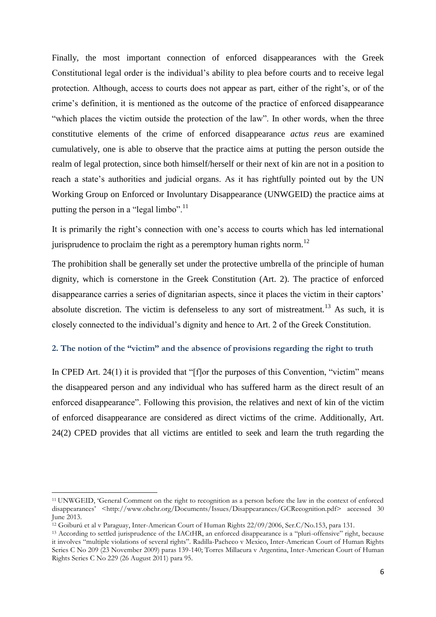Finally, the most important connection of enforced disappearances with the Greek Constitutional legal order is the individual's ability to plea before courts and to receive legal protection. Although, access to courts does not appear as part, either of the right's, or of the crime's definition, it is mentioned as the outcome of the practice of enforced disappearance "which places the victim outside the protection of the law". In other words, when the three constitutive elements of the crime of enforced disappearance *actus reus* are examined cumulatively, one is able to observe that the practice aims at putting the person outside the realm of legal protection, since both himself/herself or their next of kin are not in a position to reach a state's authorities and judicial organs. As it has rightfully pointed out by the UN Working Group on Enforced or Involuntary Disappearance (UNWGEID) the practice aims at putting the person in a "legal limbo".<sup>11</sup>

It is primarily the right's connection with one's access to courts which has led international jurisprudence to proclaim the right as a peremptory human rights norm.<sup>12</sup>

The prohibition shall be generally set under the protective umbrella of the principle of human dignity, which is cornerstone in the Greek Constitution (Art. 2). The practice of enforced disappearance carries a series of dignitarian aspects, since it places the victim in their captors' absolute discretion. The victim is defenseless to any sort of mistreatment.<sup>13</sup> As such, it is closely connected to the individual's dignity and hence to Art. 2 of the Greek Constitution.

# <span id="page-5-0"></span>**2. The notion of the "victim" and the absence of provisions regarding the right to truth**

In CPED Art. 24(1) it is provided that "[f]or the purposes of this Convention, "victim" means the disappeared person and any individual who has suffered harm as the direct result of an enforced disappearance". Following this provision, the relatives and next of kin of the victim of enforced disappearance are considered as direct victims of the crime. Additionally, Art. 24(2) CPED provides that all victims are entitled to seek and learn the truth regarding the

<sup>11</sup> UNWGEID, 'General Comment on the right to recognition as a person before the law in the context of enforced disappearances' <http://www.ohchr.org/Documents/Issues/Disappearances/GCRecognition.pdf> accessed 30 June 2013.

<sup>12</sup> Goiburú et al v Paraguay, Inter-American Court of Human Rights 22/09/2006, Ser.C/No.153, para 131.

<sup>&</sup>lt;sup>13</sup> According to settled jurisprudence of the IACtHR, an enforced disappearance is a "pluri-offensive" right, because it involves "multiple violations of several rights". Radilla-Pacheco v Mexico, Inter-American Court of Human Rights Series C No 209 (23 November 2009) paras 139-140; Torres Millacura v Argentina, Inter-American Court of Human Rights Series C No 229 (26 August 2011) para 95.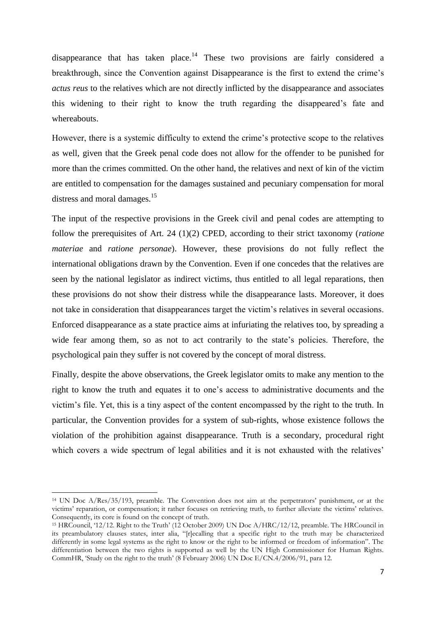disappearance that has taken place.<sup>14</sup> These two provisions are fairly considered a breakthrough, since the Convention against Disappearance is the first to extend the crime's *actus reus* to the relatives which are not directly inflicted by the disappearance and associates this widening to their right to know the truth regarding the disappeared's fate and whereabouts.

However, there is a systemic difficulty to extend the crime's protective scope to the relatives as well, given that the Greek penal code does not allow for the offender to be punished for more than the crimes committed. On the other hand, the relatives and next of kin of the victim are entitled to compensation for the damages sustained and pecuniary compensation for moral distress and moral damages.<sup>15</sup>

The input of the respective provisions in the Greek civil and penal codes are attempting to follow the prerequisites of Art. 24 (1)(2) CPED, according to their strict taxonomy (*ratione materiae* and *ratione personae*). However, these provisions do not fully reflect the international obligations drawn by the Convention. Even if one concedes that the relatives are seen by the national legislator as indirect victims, thus entitled to all legal reparations, then these provisions do not show their distress while the disappearance lasts. Moreover, it does not take in consideration that disappearances target the victim's relatives in several occasions. Enforced disappearance as a state practice aims at infuriating the relatives too, by spreading a wide fear among them, so as not to act contrarily to the state's policies. Therefore, the psychological pain they suffer is not covered by the concept of moral distress.

Finally, despite the above observations, the Greek legislator omits to make any mention to the right to know the truth and equates it to one's access to administrative documents and the victim's file. Yet, this is a tiny aspect of the content encompassed by the right to the truth. In particular, the Convention provides for a system of sub-rights, whose existence follows the violation of the prohibition against disappearance. Truth is a secondary, procedural right which covers a wide spectrum of legal abilities and it is not exhausted with the relatives'

<sup>14</sup> UN Doc A/Res/35/193, preamble. The Convention does not aim at the perpetrators' punishment, or at the victims' reparation, or compensation; it rather focuses on retrieving truth, to further alleviate the victims' relatives. Consequently, its core is found on the concept of truth.

<sup>&</sup>lt;sup>15</sup> HRCouncil, '12/12. Right to the Truth' (12 October 2009) UN Doc A/HRC/12/12, preamble. The HRCouncil in its preambulatory clauses states, inter alia, "[r]ecalling that a specific right to the truth may be characterized differently in some legal systems as the right to know or the right to be informed or freedom of information". The differentiation between the two rights is supported as well by the UN High Commissioner for Human Rights. CommHR, 'Study on the right to the truth' (8 February 2006) UN Doc E/CN.4/2006/91, para 12.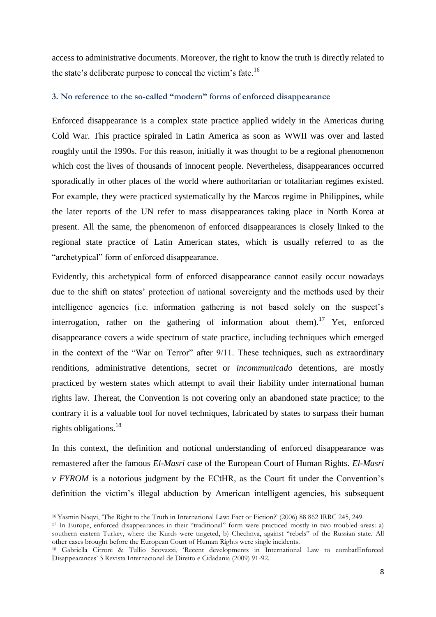access to administrative documents. Moreover, the right to know the truth is directly related to the state's deliberate purpose to conceal the victim's fate.<sup>16</sup>

### <span id="page-7-0"></span>**3. No reference to the so-called "modern" forms of enforced disappearance**

Enforced disappearance is a complex state practice applied widely in the Americas during Cold War. This practice spiraled in Latin America as soon as WWII was over and lasted roughly until the 1990s. For this reason, initially it was thought to be a regional phenomenon which cost the lives of thousands of innocent people. Nevertheless, disappearances occurred sporadically in other places of the world where authoritarian or totalitarian regimes existed. For example, they were practiced systematically by the Marcos regime in Philippines, while the later reports of the UN refer to mass disappearances taking place in North Korea at present. All the same, the phenomenon of enforced disappearances is closely linked to the regional state practice of Latin American states, which is usually referred to as the "archetypical" form of enforced disappearance.

Evidently, this archetypical form of enforced disappearance cannot easily occur nowadays due to the shift on states' protection of national sovereignty and the methods used by their intelligence agencies (i.e. information gathering is not based solely on the suspect's interrogation, rather on the gathering of information about them).<sup>17</sup> Yet, enforced disappearance covers a wide spectrum of state practice, including techniques which emerged in the context of the "War on Terror" after 9/11. These techniques, such as extraordinary renditions, administrative detentions, secret or *incommunicado* detentions, are mostly practiced by western states which attempt to avail their liability under international human rights law. Thereat, the Convention is not covering only an abandoned state practice; to the contrary it is a valuable tool for novel techniques, fabricated by states to surpass their human rights obligations.<sup>18</sup>

In this context, the definition and notional understanding of enforced disappearance was remastered after the famous *El-Masri* case of the European Court of Human Rights. *El-Masri v FYROM* is a notorious judgment by the ECtHR, as the Court fit under the Convention's definition the victim's illegal abduction by American intelligent agencies, his subsequent

<sup>16</sup> Yasmin Naqvi, 'The Right to the Truth in International Law: Fact or Fiction?' (2006) 88 862 IRRC 245, 249.

<sup>&</sup>lt;sup>17</sup> In Europe, enforced disappearances in their "traditional" form were practiced mostly in two troubled areas: a) southern eastern Turkey, where the Kurds were targeted, b) Chechnya, against "rebels" of the Russian state. All other cases brought before the European Court of Human Rights were single incidents.

<sup>18</sup> Gabriella Citroni & Tullio Scovazzi, 'Recent developments in International Law to combatEnforced Disappearances' 3 Revista Internacional de Direito e Cidadania (2009) 91-92.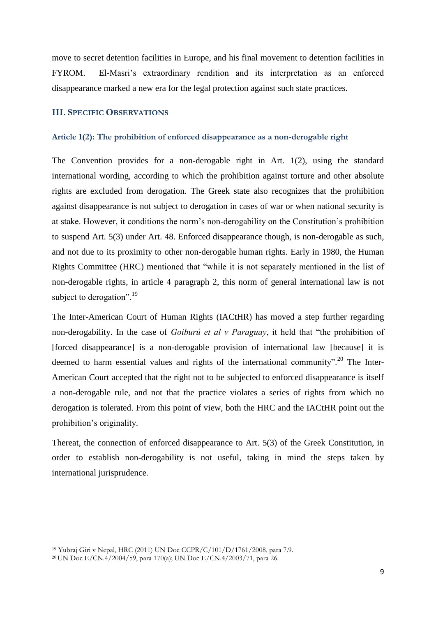move to secret detention facilities in Europe, and his final movement to detention facilities in FYROM. El-Masri's extraordinary rendition and its interpretation as an enforced disappearance marked a new era for the legal protection against such state practices.

# <span id="page-8-0"></span>**III. SPECIFIC OBSERVATIONS**

## <span id="page-8-1"></span>**Article 1(2): The prohibition of enforced disappearance as a non-derogable right**

The Convention provides for a non-derogable right in Art. 1(2), using the standard international wording, according to which the prohibition against torture and other absolute rights are excluded from derogation. The Greek state also recognizes that the prohibition against disappearance is not subject to derogation in cases of war or when national security is at stake. However, it conditions the norm's non-derogability on the Constitution's prohibition to suspend Art. 5(3) under Art. 48. Enforced disappearance though, is non-derogable as such, and not due to its proximity to other non-derogable human rights. Early in 1980, the Human Rights Committee (HRC) mentioned that "while it is not separately mentioned in the list of non-derogable rights, in article 4 paragraph 2, this norm of general international law is not subject to derogation".<sup>19</sup>

The Inter-American Court of Human Rights (IACtHR) has moved a step further regarding non-derogability. In the case of *Goiburú et al v Paraguay*, it held that "the prohibition of [forced disappearance] is a non-derogable provision of international law [because] it is deemed to harm essential values and rights of the international community".<sup>20</sup> The Inter-American Court accepted that the right not to be subjected to enforced disappearance is itself a non-derogable rule, and not that the practice violates a series of rights from which no derogation is tolerated. From this point of view, both the HRC and the IACtHR point out the prohibition's originality.

Thereat, the connection of enforced disappearance to Art. 5(3) of the Greek Constitution, in order to establish non-derogability is not useful, taking in mind the steps taken by international jurisprudence.

<sup>19</sup> Yubraj Giri v Nepal, HRC (2011) UN Doc CCPR/C/101/D/1761/2008, para 7.9.

<sup>&</sup>lt;sup>20</sup> UN Doc E/CN.4/2004/59, para 170(a); UN Doc E/CN.4/2003/71, para 26.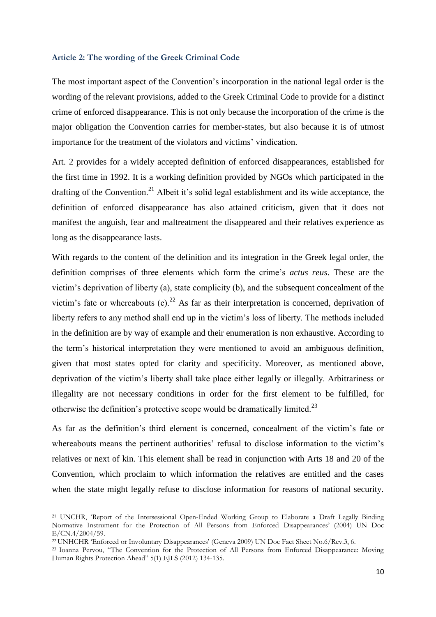#### <span id="page-9-0"></span>**Article 2: The wording of the Greek Criminal Code**

The most important aspect of the Convention's incorporation in the national legal order is the wording of the relevant provisions, added to the Greek Criminal Code to provide for a distinct crime of enforced disappearance. This is not only because the incorporation of the crime is the major obligation the Convention carries for member-states, but also because it is of utmost importance for the treatment of the violators and victims' vindication.

Art. 2 provides for a widely accepted definition of enforced disappearances, established for the first time in 1992. It is a working definition provided by NGOs which participated in the drafting of the Convention.<sup>21</sup> Albeit it's solid legal establishment and its wide acceptance, the definition of enforced disappearance has also attained criticism, given that it does not manifest the anguish, fear and maltreatment the disappeared and their relatives experience as long as the disappearance lasts.

With regards to the content of the definition and its integration in the Greek legal order, the definition comprises of three elements which form the crime's *actus reus*. These are the victim's deprivation of liberty (a), state complicity (b), and the subsequent concealment of the victim's fate or whereabouts  $(c)$ .<sup>22</sup> As far as their interpretation is concerned, deprivation of liberty refers to any method shall end up in the victim's loss of liberty. The methods included in the definition are by way of example and their enumeration is non exhaustive. According to the term's historical interpretation they were mentioned to avoid an ambiguous definition, given that most states opted for clarity and specificity. Moreover, as mentioned above, deprivation of the victim's liberty shall take place either legally or illegally. Arbitrariness or illegality are not necessary conditions in order for the first element to be fulfilled, for otherwise the definition's protective scope would be dramatically limited.<sup>23</sup>

As far as the definition's third element is concerned, concealment of the victim's fate or whereabouts means the pertinent authorities' refusal to disclose information to the victim's relatives or next of kin. This element shall be read in conjunction with Arts 18 and 20 of the Convention, which proclaim to which information the relatives are entitled and the cases when the state might legally refuse to disclose information for reasons of national security.

<sup>21</sup> UNCHR, 'Report of the Intersessional Open-Ended Working Group to Elaborate a Draft Legally Binding Normative Instrument for the Protection of All Persons from Enforced Disappearances' (2004) UN Doc E/CN.4/2004/59.

<sup>&</sup>lt;sup>22</sup> UNHCHR 'Enforced or Involuntary Disappearances' (Geneva 2009) UN Doc Fact Sheet No.6/Rev.3, 6.

<sup>23</sup> Ioanna Pervou, "The Convention for the Protection of All Persons from Enforced Disappearance: Moving Human Rights Protection Ahead" 5(1) EJLS (2012) 134-135.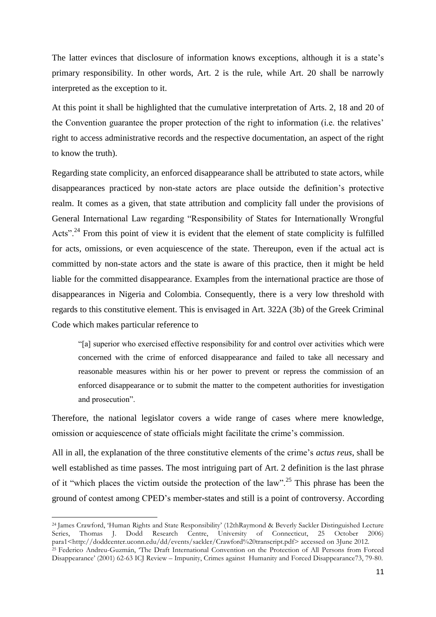The latter evinces that disclosure of information knows exceptions, although it is a state's primary responsibility. In other words, Art. 2 is the rule, while Art. 20 shall be narrowly interpreted as the exception to it.

At this point it shall be highlighted that the cumulative interpretation of Arts. 2, 18 and 20 of the Convention guarantee the proper protection of the right to information (i.e. the relatives' right to access administrative records and the respective documentation, an aspect of the right to know the truth).

Regarding state complicity, an enforced disappearance shall be attributed to state actors, while disappearances practiced by non-state actors are place outside the definition's protective realm. It comes as a given, that state attribution and complicity fall under the provisions of General International Law regarding "Responsibility of States for Internationally Wrongful Acts".<sup>24</sup> From this point of view it is evident that the element of state complicity is fulfilled for acts, omissions, or even acquiescence of the state. Thereupon, even if the actual act is committed by non-state actors and the state is aware of this practice, then it might be held liable for the committed disappearance. Examples from the international practice are those of disappearances in Nigeria and Colombia. Consequently, there is a very low threshold with regards to this constitutive element. This is envisaged in Art. 322A (3b) of the Greek Criminal Code which makes particular reference to

"[a] superior who exercised effective responsibility for and control over activities which were concerned with the crime of enforced disappearance and failed to take all necessary and reasonable measures within his or her power to prevent or repress the commission of an enforced disappearance or to submit the matter to the competent authorities for investigation and prosecution".

Therefore, the national legislator covers a wide range of cases where mere knowledge, omission or acquiescence of state officials might facilitate the crime's commission.

All in all, the explanation of the three constitutive elements of the crime's *actus reus*, shall be well established as time passes. The most intriguing part of Art. 2 definition is the last phrase of it "which places the victim outside the protection of the law".<sup>25</sup> This phrase has been the ground of contest among CPED's member-states and still is a point of controversy. According

<sup>24</sup> James Crawford, 'Human Rights and State Responsibility' (12thRaymond & Beverly Sackler Distinguished Lecture Series, Thomas J. Dodd Research Centre, University of Connecticut, 25 October 2006) para1<http://doddcenter.uconn.edu/dd/events/sackler/Crawford%20transcript.pdf> accessed on 3June 2012. <sup>25</sup> Federico Andreu-Guzmán, 'The Draft International Convention on the Protection of All Persons from Forced

Disappearance' (2001) 62-63 ICJ Review – Impunity, Crimes against Humanity and Forced Disappearance73, 79-80.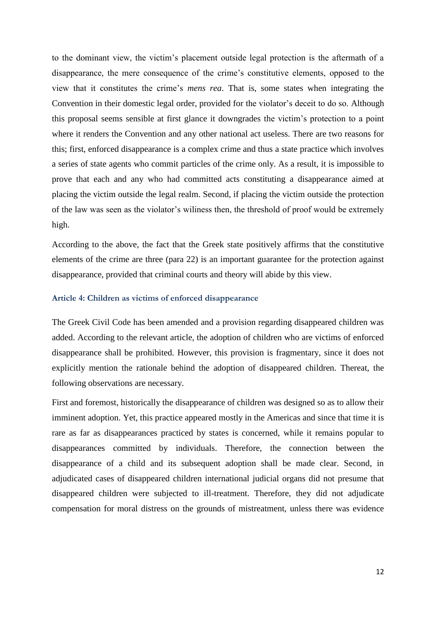to the dominant view, the victim's placement outside legal protection is the aftermath of a disappearance, the mere consequence of the crime's constitutive elements, opposed to the view that it constitutes the crime's *mens rea*. That is, some states when integrating the Convention in their domestic legal order, provided for the violator's deceit to do so. Although this proposal seems sensible at first glance it downgrades the victim's protection to a point where it renders the Convention and any other national act useless. There are two reasons for this; first, enforced disappearance is a complex crime and thus a state practice which involves a series of state agents who commit particles of the crime only. As a result, it is impossible to prove that each and any who had committed acts constituting a disappearance aimed at placing the victim outside the legal realm. Second, if placing the victim outside the protection of the law was seen as the violator's wiliness then, the threshold of proof would be extremely high.

According to the above, the fact that the Greek state positively affirms that the constitutive elements of the crime are three (para 22) is an important guarantee for the protection against disappearance, provided that criminal courts and theory will abide by this view.

#### <span id="page-11-0"></span>**Article 4: Children as victims of enforced disappearance**

The Greek Civil Code has been amended and a provision regarding disappeared children was added. According to the relevant article, the adoption of children who are victims of enforced disappearance shall be prohibited. However, this provision is fragmentary, since it does not explicitly mention the rationale behind the adoption of disappeared children. Thereat, the following observations are necessary.

First and foremost, historically the disappearance of children was designed so as to allow their imminent adoption. Yet, this practice appeared mostly in the Americas and since that time it is rare as far as disappearances practiced by states is concerned, while it remains popular to disappearances committed by individuals. Therefore, the connection between the disappearance of a child and its subsequent adoption shall be made clear. Second, in adjudicated cases of disappeared children international judicial organs did not presume that disappeared children were subjected to ill-treatment. Therefore, they did not adjudicate compensation for moral distress on the grounds of mistreatment, unless there was evidence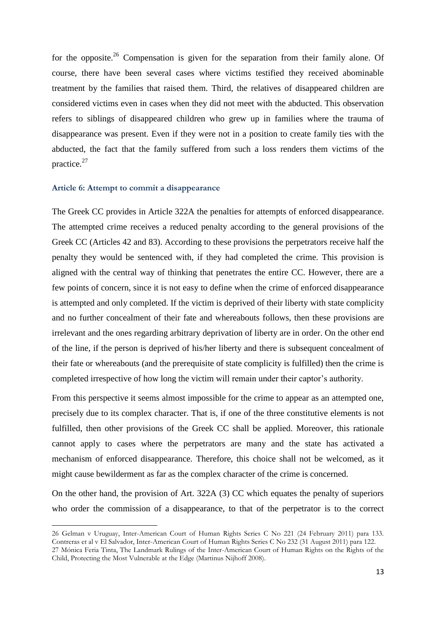for the opposite.<sup>26</sup> Compensation is given for the separation from their family alone. Of course, there have been several cases where victims testified they received abominable treatment by the families that raised them. Third, the relatives of disappeared children are considered victims even in cases when they did not meet with the abducted. This observation refers to siblings of disappeared children who grew up in families where the trauma of disappearance was present. Even if they were not in a position to create family ties with the abducted, the fact that the family suffered from such a loss renders them victims of the practice.<sup>27</sup>

## <span id="page-12-0"></span>**Article 6: Attempt to commit a disappearance**

 $\overline{a}$ 

The Greek CC provides in Article 322A the penalties for attempts of enforced disappearance. The attempted crime receives a reduced penalty according to the general provisions of the Greek CC (Articles 42 and 83). According to these provisions the perpetrators receive half the penalty they would be sentenced with, if they had completed the crime. This provision is aligned with the central way of thinking that penetrates the entire CC. However, there are a few points of concern, since it is not easy to define when the crime of enforced disappearance is attempted and only completed. If the victim is deprived of their liberty with state complicity and no further concealment of their fate and whereabouts follows, then these provisions are irrelevant and the ones regarding arbitrary deprivation of liberty are in order. On the other end of the line, if the person is deprived of his/her liberty and there is subsequent concealment of their fate or whereabouts (and the prerequisite of state complicity is fulfilled) then the crime is completed irrespective of how long the victim will remain under their captor's authority.

From this perspective it seems almost impossible for the crime to appear as an attempted one, precisely due to its complex character. That is, if one of the three constitutive elements is not fulfilled, then other provisions of the Greek CC shall be applied. Moreover, this rationale cannot apply to cases where the perpetrators are many and the state has activated a mechanism of enforced disappearance. Therefore, this choice shall not be welcomed, as it might cause bewilderment as far as the complex character of the crime is concerned.

On the other hand, the provision of Art. 322A (3) CC which equates the penalty of superiors who order the commission of a disappearance, to that of the perpetrator is to the correct

<sup>26</sup> Gelman v Uruguay, Inter-American Court of Human Rights Series C No 221 (24 February 2011) para 133. Contreras et al v El Salvador, Inter-American Court of Human Rights Series C No 232 (31 August 2011) para 122. 27 Mónica Feria Tinta, The Landmark Rulings of the Inter-American Court of Human Rights on the Rights of the Child, Protecting the Most Vulnerable at the Edge (Martinus Nijhoff 2008).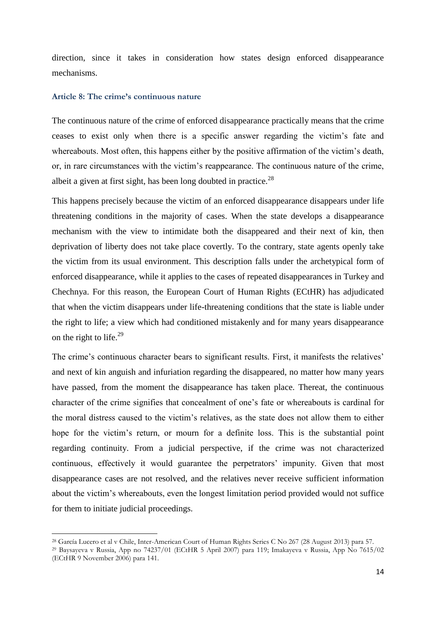direction, since it takes in consideration how states design enforced disappearance mechanisms.

#### <span id="page-13-0"></span>**Article 8: The crime's continuous nature**

 $\overline{a}$ 

The continuous nature of the crime of enforced disappearance practically means that the crime ceases to exist only when there is a specific answer regarding the victim's fate and whereabouts. Most often, this happens either by the positive affirmation of the victim's death, or, in rare circumstances with the victim's reappearance. The continuous nature of the crime, albeit a given at first sight, has been long doubted in practice. $^{28}$ 

This happens precisely because the victim of an enforced disappearance disappears under life threatening conditions in the majority of cases. When the state develops a disappearance mechanism with the view to intimidate both the disappeared and their next of kin, then deprivation of liberty does not take place covertly. To the contrary, state agents openly take the victim from its usual environment. This description falls under the archetypical form of enforced disappearance, while it applies to the cases of repeated disappearances in Turkey and Chechnya. For this reason, the European Court of Human Rights (ECtHR) has adjudicated that when the victim disappears under life-threatening conditions that the state is liable under the right to life; a view which had conditioned mistakenly and for many years disappearance on the right to life. $^{29}$ 

The crime's continuous character bears to significant results. First, it manifests the relatives' and next of kin anguish and infuriation regarding the disappeared, no matter how many years have passed, from the moment the disappearance has taken place. Thereat, the continuous character of the crime signifies that concealment of one's fate or whereabouts is cardinal for the moral distress caused to the victim's relatives, as the state does not allow them to either hope for the victim's return, or mourn for a definite loss. This is the substantial point regarding continuity. From a judicial perspective, if the crime was not characterized continuous, effectively it would guarantee the perpetrators' impunity. Given that most disappearance cases are not resolved, and the relatives never receive sufficient information about the victim's whereabouts, even the longest limitation period provided would not suffice for them to initiate judicial proceedings.

<sup>28</sup> García Lucero et al v Chile, Inter-American Court of Human Rights Series C No 267 (28 August 2013) para 57.

<sup>29</sup> Baysayeva v Russia, App no 74237/01 (ECtHR 5 April 2007) para 119; Imakayeva v Russia, App No 7615/02 (ECtHR 9 November 2006) para 141.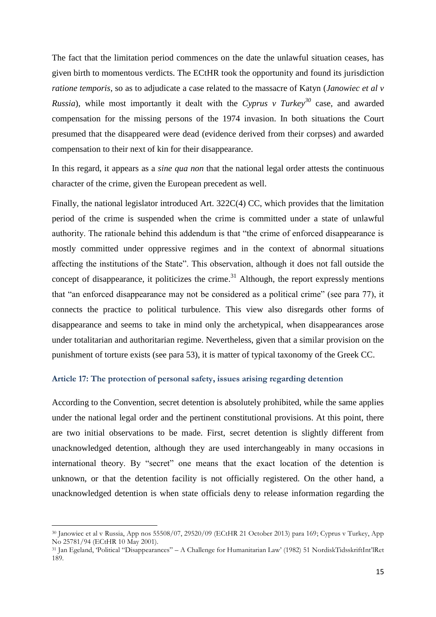The fact that the limitation period commences on the date the unlawful situation ceases, has given birth to momentous verdicts. The ECtHR took the opportunity and found its jurisdiction *ratione temporis*, so as to adjudicate a case related to the massacre of Katyn (*Janowiec et al v Russia*), while most importantly it dealt with the *Cyprus v Turkey<sup>30</sup>* case, and awarded compensation for the missing persons of the 1974 invasion. In both situations the Court presumed that the disappeared were dead (evidence derived from their corpses) and awarded compensation to their next of kin for their disappearance.

In this regard, it appears as a *sine qua non* that the national legal order attests the continuous character of the crime, given the European precedent as well.

Finally, the national legislator introduced Art. 322C(4) CC, which provides that the limitation period of the crime is suspended when the crime is committed under a state of unlawful authority. The rationale behind this addendum is that "the crime of enforced disappearance is mostly committed under oppressive regimes and in the context of abnormal situations affecting the institutions of the State". This observation, although it does not fall outside the concept of disappearance, it politicizes the crime.<sup>31</sup> Although, the report expressly mentions that "an enforced disappearance may not be considered as a political crime" (see para 77), it connects the practice to political turbulence. This view also disregards other forms of disappearance and seems to take in mind only the archetypical, when disappearances arose under totalitarian and authoritarian regime. Nevertheless, given that a similar provision on the punishment of torture exists (see para 53), it is matter of typical taxonomy of the Greek CC.

#### <span id="page-14-0"></span>**Article 17: The protection of personal safety, issues arising regarding detention**

According to the Convention, secret detention is absolutely prohibited, while the same applies under the national legal order and the pertinent constitutional provisions. At this point, there are two initial observations to be made. First, secret detention is slightly different from unacknowledged detention, although they are used interchangeably in many occasions in international theory. By "secret" one means that the exact location of the detention is unknown, or that the detention facility is not officially registered. On the other hand, a unacknowledged detention is when state officials deny to release information regarding the

<sup>30</sup> Janowiec et al v Russia, App nos 55508/07, 29520/09 (ECtHR 21 October 2013) para 169; Cyprus v Turkey, App No 25781/94 (ECtHR 10 May 2001).

<sup>31</sup> Jan Egeland, 'Political "Disappearances" – A Challenge for Humanitarian Law' (1982) 51 NordiskTidsskriftInt'lRet 189.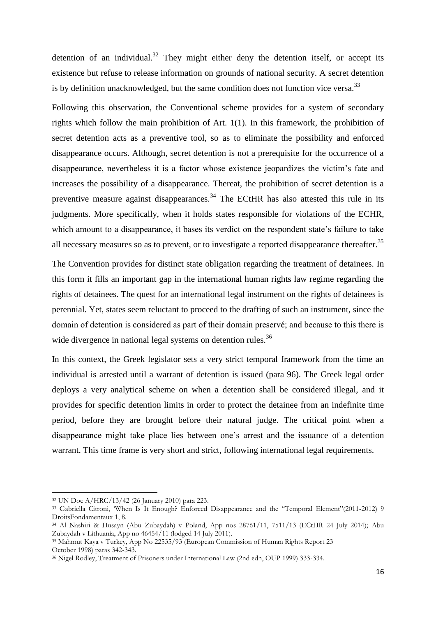detention of an individual.<sup>32</sup> They might either deny the detention itself, or accept its existence but refuse to release information on grounds of national security. A secret detention is by definition unacknowledged, but the same condition does not function vice versa.<sup>33</sup>

Following this observation, the Conventional scheme provides for a system of secondary rights which follow the main prohibition of Art. 1(1). In this framework, the prohibition of secret detention acts as a preventive tool, so as to eliminate the possibility and enforced disappearance occurs. Although, secret detention is not a prerequisite for the occurrence of a disappearance, nevertheless it is a factor whose existence jeopardizes the victim's fate and increases the possibility of a disappearance. Thereat, the prohibition of secret detention is a preventive measure against disappearances.<sup>34</sup> The ECtHR has also attested this rule in its judgments. More specifically, when it holds states responsible for violations of the ECHR, which amount to a disappearance, it bases its verdict on the respondent state's failure to take all necessary measures so as to prevent, or to investigate a reported disappearance thereafter.<sup>35</sup>

The Convention provides for distinct state obligation regarding the treatment of detainees. In this form it fills an important gap in the international human rights law regime regarding the rights of detainees. The quest for an international legal instrument on the rights of detainees is perennial. Yet, states seem reluctant to proceed to the drafting of such an instrument, since the domain of detention is considered as part of their domain preservé; and because to this there is wide divergence in national legal systems on detention rules.<sup>36</sup>

In this context, the Greek legislator sets a very strict temporal framework from the time an individual is arrested until a warrant of detention is issued (para 96). The Greek legal order deploys a very analytical scheme on when a detention shall be considered illegal, and it provides for specific detention limits in order to protect the detainee from an indefinite time period, before they are brought before their natural judge. The critical point when a disappearance might take place lies between one's arrest and the issuance of a detention warrant. This time frame is very short and strict, following international legal requirements.

<sup>32</sup> UN Doc A/HRC/13/42 (26 January 2010) para 223.

<sup>&</sup>lt;sup>33</sup> Gabriella Citroni, 'When Is It Enough? Enforced Disappearance and the "Temporal Element"(2011-2012) 9 DroitsFondamentaux 1, 8.

<sup>34</sup> Al Nashiri & Husayn (Abu Zubaydah) v Poland, App nos 28761/11, 7511/13 (ECtHR 24 July 2014); Abu Zubaydah v Lithuania, App no 46454/11 (lodged 14 July 2011).

<sup>35</sup> Mahmut Kaya v Turkey, App No 22535/93 (European Commission of Human Rights Report 23 October 1998) paras 342-343.

<sup>36</sup> Nigel Rodley, Treatment of Prisoners under International Law (2nd edn, OUP 1999) 333-334.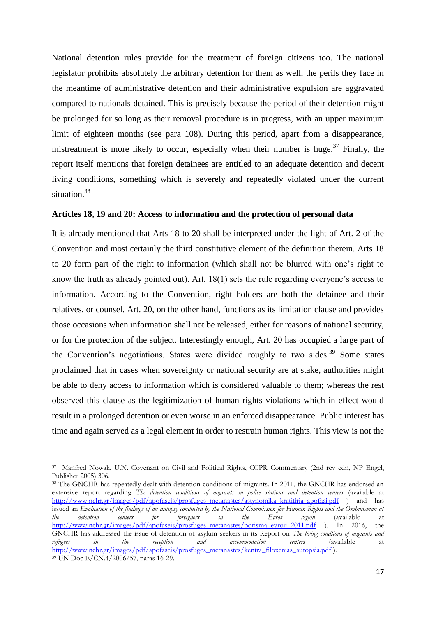National detention rules provide for the treatment of foreign citizens too. The national legislator prohibits absolutely the arbitrary detention for them as well, the perils they face in the meantime of administrative detention and their administrative expulsion are aggravated compared to nationals detained. This is precisely because the period of their detention might be prolonged for so long as their removal procedure is in progress, with an upper maximum limit of eighteen months (see para 108). During this period, apart from a disappearance, mistreatment is more likely to occur, especially when their number is huge.<sup>37</sup> Finally, the report itself mentions that foreign detainees are entitled to an adequate detention and decent living conditions, something which is severely and repeatedly violated under the current situation.<sup>38</sup>

#### <span id="page-16-0"></span>**Articles 18, 19 and 20: Access to information and the protection of personal data**

It is already mentioned that Arts 18 to 20 shall be interpreted under the light of Art. 2 of the Convention and most certainly the third constitutive element of the definition therein. Arts 18 to 20 form part of the right to information (which shall not be blurred with one's right to know the truth as already pointed out). Art. 18(1) sets the rule regarding everyone's access to information. According to the Convention, right holders are both the detainee and their relatives, or counsel. Art. 20, on the other hand, functions as its limitation clause and provides those occasions when information shall not be released, either for reasons of national security, or for the protection of the subject. Interestingly enough, Art. 20 has occupied a large part of the Convention's negotiations. States were divided roughly to two sides.<sup>39</sup> Some states proclaimed that in cases when sovereignty or national security are at stake, authorities might be able to deny access to information which is considered valuable to them; whereas the rest observed this clause as the legitimization of human rights violations which in effect would result in a prolonged detention or even worse in an enforced disappearance. Public interest has time and again served as a legal element in order to restrain human rights. This view is not the

<sup>37</sup> Manfred Nowak, U.N. Covenant on Civil and Political Rights, CCPR Commentary (2nd rev edn, NP Engel, Publisher 2005) 306.

<sup>&</sup>lt;sup>38</sup> The GNCHR has repeatedly dealt with detention conditions of migrants. In 2011, the GNCHR has endorsed an extensive report regarding *The detention conditions of migrants in police stations and detention centers* (available at [http://www.nchr.gr/images/pdf/apofaseis/prosfuges\\_metanastes/astynomika\\_kratitiria\\_apofasi.pdf](http://www.nchr.gr/images/pdf/apofaseis/prosfuges_metanastes/astynomika_kratitiria_apofasi.pdf) ) and has issued an *Evaluation of the findings of an autopsy conducted by the National Commission for Human Rights and the Ombudsman at the* detention centers for foreigners in the Evros region (available at *the detention centers for foreigners in the Evros region* (available at [http://www.nchr.gr/images/pdf/apofaseis/prosfuges\\_metanastes/porisma\\_evrou\\_2011.pdf](http://www.nchr.gr/images/pdf/apofaseis/prosfuges_metanastes/porisma_evrou_2011.pdf) ). In 2016, the GNCHR has addressed the issue of detention of asylum seekers in its Report on *The living condtions of migtants and refugees in the reception and accommodation centers* (available at *refugees in the reception and accommodation centers* (available at [http://www.nchr.gr/images/pdf/apofaseis/prosfuges\\_metanastes/kentra\\_filoxenias\\_autopsia.pdf](http://www.nchr.gr/images/pdf/apofaseis/prosfuges_metanastes/kentra_filoxenias_autopsia.pdf) ). <sup>39</sup> UN Doc E/CN.4/2006/57, paras 16-29.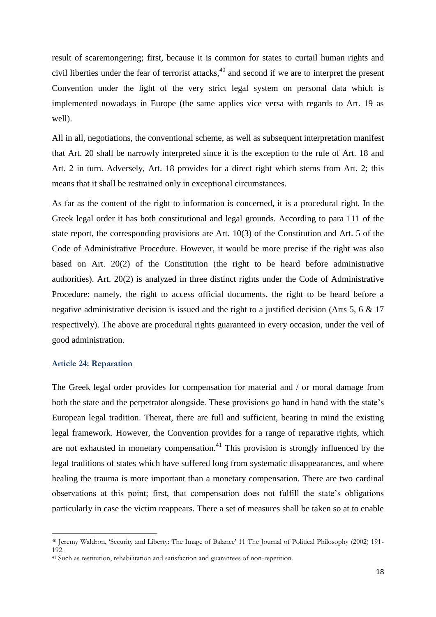result of scaremongering; first, because it is common for states to curtail human rights and civil liberties under the fear of terrorist attacks, $40$  and second if we are to interpret the present Convention under the light of the very strict legal system on personal data which is implemented nowadays in Europe (the same applies vice versa with regards to Art. 19 as well).

All in all, negotiations, the conventional scheme, as well as subsequent interpretation manifest that Art. 20 shall be narrowly interpreted since it is the exception to the rule of Art. 18 and Art. 2 in turn. Adversely, Art. 18 provides for a direct right which stems from Art. 2; this means that it shall be restrained only in exceptional circumstances.

As far as the content of the right to information is concerned, it is a procedural right. In the Greek legal order it has both constitutional and legal grounds. According to para 111 of the state report, the corresponding provisions are Art. 10(3) of the Constitution and Art. 5 of the Code of Administrative Procedure. However, it would be more precise if the right was also based on Art. 20(2) of the Constitution (the right to be heard before administrative authorities). Art. 20(2) is analyzed in three distinct rights under the Code of Administrative Procedure: namely, the right to access official documents, the right to be heard before a negative administrative decision is issued and the right to a justified decision (Arts 5, 6 & 17 respectively). The above are procedural rights guaranteed in every occasion, under the veil of good administration.

### <span id="page-17-0"></span>**Article 24: Reparation**

 $\overline{a}$ 

The Greek legal order provides for compensation for material and / or moral damage from both the state and the perpetrator alongside. These provisions go hand in hand with the state's European legal tradition. Thereat, there are full and sufficient, bearing in mind the existing legal framework. However, the Convention provides for a range of reparative rights, which are not exhausted in monetary compensation.<sup>41</sup> This provision is strongly influenced by the legal traditions of states which have suffered long from systematic disappearances, and where healing the trauma is more important than a monetary compensation. There are two cardinal observations at this point; first, that compensation does not fulfill the state's obligations particularly in case the victim reappears. There a set of measures shall be taken so at to enable

<sup>40</sup> Jeremy Waldron, 'Security and Liberty: The Image of Balance' 11 The Journal of Political Philosophy (2002) 191- 192.

<sup>&</sup>lt;sup>41</sup> Such as restitution, rehabilitation and satisfaction and guarantees of non-repetition.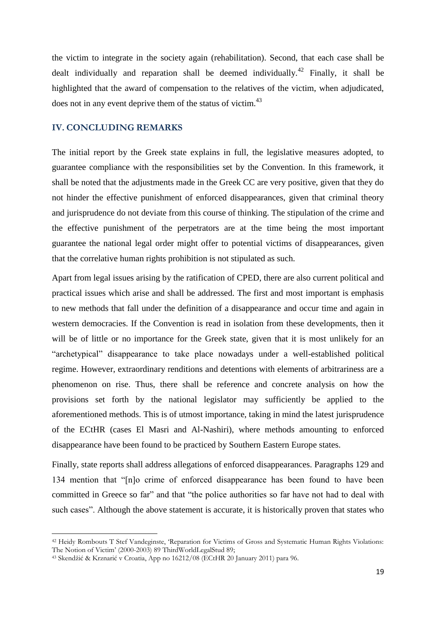the victim to integrate in the society again (rehabilitation). Second, that each case shall be dealt individually and reparation shall be deemed individually.<sup>42</sup> Finally, it shall be highlighted that the award of compensation to the relatives of the victim, when adjudicated, does not in any event deprive them of the status of victim.<sup>43</sup>

## <span id="page-18-0"></span>**IV. CONCLUDING REMARKS**

The initial report by the Greek state explains in full, the legislative measures adopted, to guarantee compliance with the responsibilities set by the Convention. In this framework, it shall be noted that the adjustments made in the Greek CC are very positive, given that they do not hinder the effective punishment of enforced disappearances, given that criminal theory and jurisprudence do not deviate from this course of thinking. The stipulation of the crime and the effective punishment of the perpetrators are at the time being the most important guarantee the national legal order might offer to potential victims of disappearances, given that the correlative human rights prohibition is not stipulated as such.

Apart from legal issues arising by the ratification of CPED, there are also current political and practical issues which arise and shall be addressed. The first and most important is emphasis to new methods that fall under the definition of a disappearance and occur time and again in western democracies. If the Convention is read in isolation from these developments, then it will be of little or no importance for the Greek state, given that it is most unlikely for an "archetypical" disappearance to take place nowadays under a well-established political regime. However, extraordinary renditions and detentions with elements of arbitrariness are a phenomenon on rise. Thus, there shall be reference and concrete analysis on how the provisions set forth by the national legislator may sufficiently be applied to the aforementioned methods. This is of utmost importance, taking in mind the latest jurisprudence of the ECtHR (cases El Masri and Al-Nashiri), where methods amounting to enforced disappearance have been found to be practiced by Southern Eastern Europe states.

Finally, state reports shall address allegations of enforced disappearances. Paragraphs 129 and 134 mention that "[n]o crime of enforced disappearance has been found to have been committed in Greece so far" and that "the police authorities so far have not had to deal with such cases". Although the above statement is accurate, it is historically proven that states who

<sup>42</sup> Heidy Rombouts Τ Stef Vandeginste, 'Reparation for Victims of Gross and Systematic Human Rights Violations: The Notion of Victim' (2000-2003) 89 ThirdWorldLegalStud 89;

<sup>43</sup> Skendžić & Krznarić v Croatia, App no 16212/08 (ECtHR 20 January 2011) para 96.